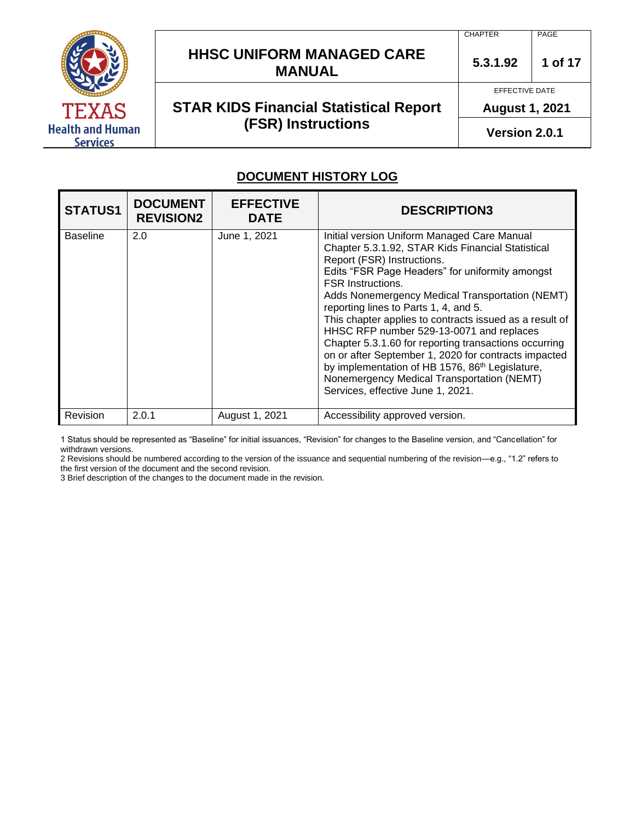

# **HHSC UNIFORM MANAGED CARE MANUAL**  $\begin{array}{|c|c|c|c|c|} \hline 5.3.1.92 & 1 \hline \end{array}$  1 of 17

# **STAR KIDS Financial Statistical Report (FSR) Instructions**

PAGE

**CHAPTER** 

**5.3.1.92** 

EFFECTIVE DATE

**August 1, 2021** 

**Version 2.0.1**

#### **DOCUMENT HISTORY LOG**

| <b>STATUS1</b>  | <b>DOCUMENT</b><br><b>REVISION2</b> | <b>EFFECTIVE</b><br><b>DATE</b> | <b>DESCRIPTION3</b>                                                                                                                                                                                                                                                                                                                                                                                                                                                                                                                                                                                                                                                                 |
|-----------------|-------------------------------------|---------------------------------|-------------------------------------------------------------------------------------------------------------------------------------------------------------------------------------------------------------------------------------------------------------------------------------------------------------------------------------------------------------------------------------------------------------------------------------------------------------------------------------------------------------------------------------------------------------------------------------------------------------------------------------------------------------------------------------|
| <b>Baseline</b> | 2.0                                 | June 1, 2021                    | Initial version Uniform Managed Care Manual<br>Chapter 5.3.1.92, STAR Kids Financial Statistical<br>Report (FSR) Instructions.<br>Edits "FSR Page Headers" for uniformity amongst<br><b>FSR Instructions.</b><br>Adds Nonemergency Medical Transportation (NEMT)<br>reporting lines to Parts 1, 4, and 5.<br>This chapter applies to contracts issued as a result of<br>HHSC RFP number 529-13-0071 and replaces<br>Chapter 5.3.1.60 for reporting transactions occurring<br>on or after September 1, 2020 for contracts impacted<br>by implementation of HB 1576, 86 <sup>th</sup> Legislature,<br>Nonemergency Medical Transportation (NEMT)<br>Services, effective June 1, 2021. |
| Revision        | 2.0.1                               | August 1, 2021                  | Accessibility approved version.                                                                                                                                                                                                                                                                                                                                                                                                                                                                                                                                                                                                                                                     |

1 Status should be represented as "Baseline" for initial issuances, "Revision" for changes to the Baseline version, and "Cancellation" for withdrawn versions.

2 Revisions should be numbered according to the version of the issuance and sequential numbering of the revision—e.g., "1.2" refers to the first version of the document and the second revision.

3 Brief description of the changes to the document made in the revision.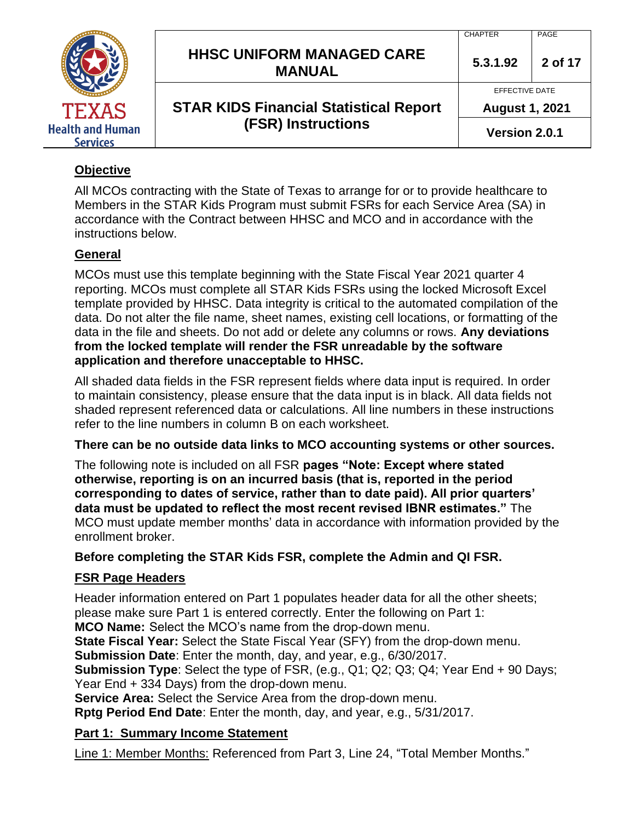|                                            |                                                   | <b>CHAPTER</b>        | PAGE    |
|--------------------------------------------|---------------------------------------------------|-----------------------|---------|
|                                            | <b>HHSC UNIFORM MANAGED CARE</b><br><b>MANUAL</b> | 5.3.1.92              | 2 of 17 |
|                                            | <b>STAR KIDS Financial Statistical Report</b>     | EFFECTIVE DATE        |         |
| TEXAS                                      |                                                   | <b>August 1, 2021</b> |         |
| <b>Health and Human</b><br><b>Services</b> | <b>(FSR) Instructions</b>                         | Version 2.0.1         |         |

## **Objective**

All MCOs contracting with the State of Texas to arrange for or to provide healthcare to Members in the STAR Kids Program must submit FSRs for each Service Area (SA) in accordance with the Contract between HHSC and MCO and in accordance with the instructions below.

#### **General**

MCOs must use this template beginning with the State Fiscal Year 2021 quarter 4 reporting. MCOs must complete all STAR Kids FSRs using the locked Microsoft Excel template provided by HHSC. Data integrity is critical to the automated compilation of the data. Do not alter the file name, sheet names, existing cell locations, or formatting of the data in the file and sheets. Do not add or delete any columns or rows. **Any deviations from the locked template will render the FSR unreadable by the software application and therefore unacceptable to HHSC.**

All shaded data fields in the FSR represent fields where data input is required. In order to maintain consistency, please ensure that the data input is in black. All data fields not shaded represent referenced data or calculations. All line numbers in these instructions refer to the line numbers in column B on each worksheet.

#### **There can be no outside data links to MCO accounting systems or other sources.**

The following note is included on all FSR **pages "Note: Except where stated otherwise, reporting is on an incurred basis (that is, reported in the period corresponding to dates of service, rather than to date paid). All prior quarters' data must be updated to reflect the most recent revised IBNR estimates."** The MCO must update member months' data in accordance with information provided by the enrollment broker.

#### **Before completing the STAR Kids FSR, complete the Admin and QI FSR.**

#### **FSR Page Headers**

Header information entered on Part 1 populates header data for all the other sheets; please make sure Part 1 is entered correctly. Enter the following on Part 1:

**MCO Name:** Select the MCO's name from the drop-down menu.

**State Fiscal Year:** Select the State Fiscal Year (SFY) from the drop-down menu.

**Submission Date**: Enter the month, day, and year, e.g., 6/30/2017.

**Submission Type**: Select the type of FSR, (e.g., Q1; Q2; Q3; Q4; Year End + 90 Days; Year End + 334 Days) from the drop-down menu.

**Service Area:** Select the Service Area from the drop-down menu.

**Rptg Period End Date**: Enter the month, day, and year, e.g., 5/31/2017.

#### **Part 1: Summary Income Statement**

Line 1: Member Months: Referenced from Part 3, Line 24, "Total Member Months."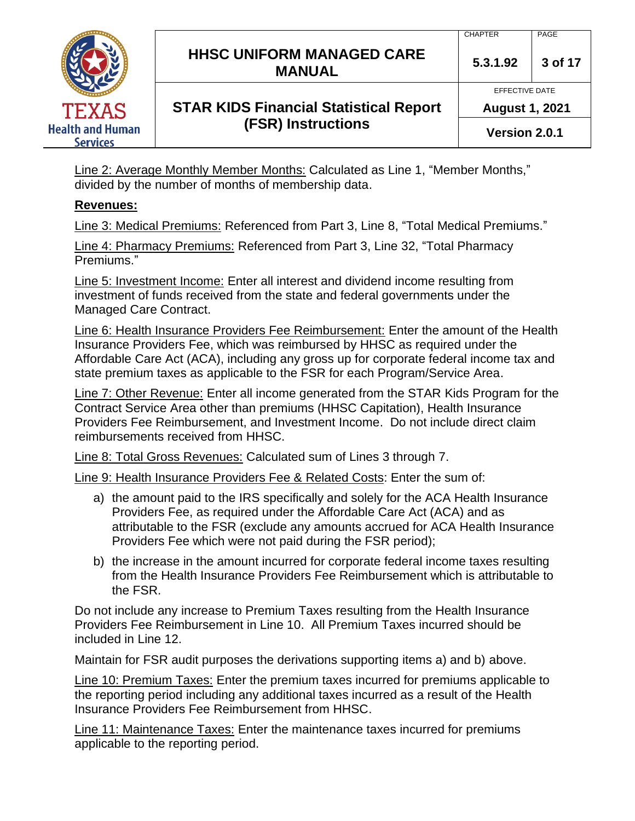# **HHSC UNIFORM MANAGED CARE MANUAL 5.3.1.92 <sup>3</sup> of 17**

# **STAR KIDS Financial Statistical Report (FSR) Instructions**

EFFECTIVE DATE

**August 1, 2021**

**Version 2.0.1**

Line 2: Average Monthly Member Months: Calculated as Line 1, "Member Months," divided by the number of months of membership data.

## **Revenues:**

Line 3: Medical Premiums: Referenced from Part 3, Line 8, "Total Medical Premiums."

Line 4: Pharmacy Premiums: Referenced from Part 3, Line 32, "Total Pharmacy Premiums."

Line 5: Investment Income: Enter all interest and dividend income resulting from investment of funds received from the state and federal governments under the Managed Care Contract.

Line 6: Health Insurance Providers Fee Reimbursement: Enter the amount of the Health Insurance Providers Fee, which was reimbursed by HHSC as required under the Affordable Care Act (ACA), including any gross up for corporate federal income tax and state premium taxes as applicable to the FSR for each Program/Service Area.

Line 7: Other Revenue: Enter all income generated from the STAR Kids Program for the Contract Service Area other than premiums (HHSC Capitation), Health Insurance Providers Fee Reimbursement, and Investment Income. Do not include direct claim reimbursements received from HHSC.

Line 8: Total Gross Revenues: Calculated sum of Lines 3 through 7.

Line 9: Health Insurance Providers Fee & Related Costs: Enter the sum of:

- a) the amount paid to the IRS specifically and solely for the ACA Health Insurance Providers Fee, as required under the Affordable Care Act (ACA) and as attributable to the FSR (exclude any amounts accrued for ACA Health Insurance Providers Fee which were not paid during the FSR period);
- b) the increase in the amount incurred for corporate federal income taxes resulting from the Health Insurance Providers Fee Reimbursement which is attributable to the FSR.

Do not include any increase to Premium Taxes resulting from the Health Insurance Providers Fee Reimbursement in Line 10. All Premium Taxes incurred should be included in Line 12.

Maintain for FSR audit purposes the derivations supporting items a) and b) above.

Line 10: Premium Taxes: Enter the premium taxes incurred for premiums applicable to the reporting period including any additional taxes incurred as a result of the Health Insurance Providers Fee Reimbursement from HHSC.

Line 11: Maintenance Taxes: Enter the maintenance taxes incurred for premiums applicable to the reporting period.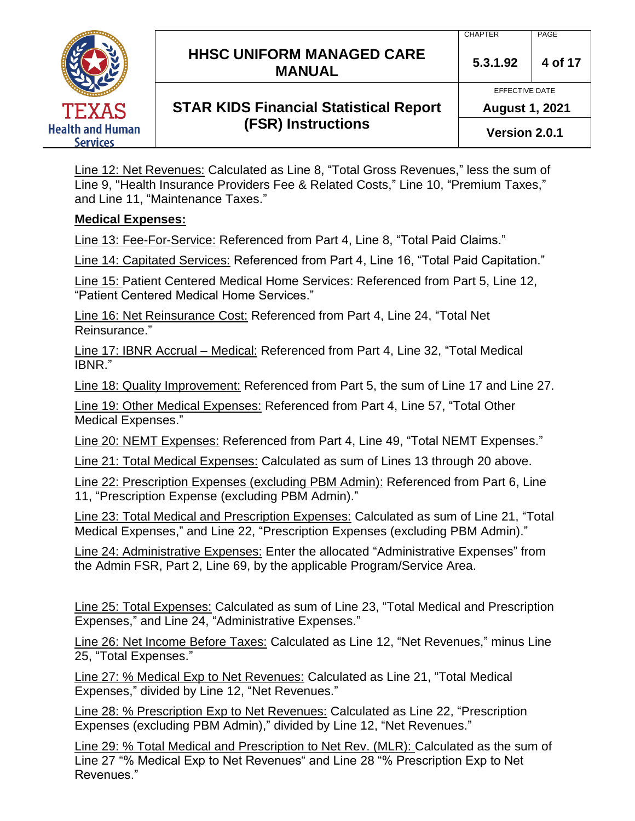**HHSC UNIFORM MANAGED CARE MANUAL** 5.3.1.92 4 of 17 **STAR KIDS Financial Statistical Report**  EFFECTIVE DATE

# **(FSR) Instructions**

**August 1, 2021**

**Version 2.0.1**

Line 12: Net Revenues: Calculated as Line 8, "Total Gross Revenues," less the sum of Line 9, "Health Insurance Providers Fee & Related Costs," Line 10, "Premium Taxes," and Line 11, "Maintenance Taxes."

#### **Medical Expenses:**

Line 13: Fee-For-Service: Referenced from Part 4, Line 8, "Total Paid Claims."

Line 14: Capitated Services: Referenced from Part 4, Line 16, "Total Paid Capitation."

Line 15: Patient Centered Medical Home Services: Referenced from Part 5, Line 12, "Patient Centered Medical Home Services."

Line 16: Net Reinsurance Cost: Referenced from Part 4, Line 24, "Total Net Reinsurance."

Line 17: IBNR Accrual – Medical: Referenced from Part 4, Line 32, "Total Medical IBNR."

Line 18: Quality Improvement: Referenced from Part 5, the sum of Line 17 and Line 27.

Line 19: Other Medical Expenses: Referenced from Part 4, Line 57, "Total Other Medical Expenses."

Line 20: NEMT Expenses: Referenced from Part 4, Line 49, "Total NEMT Expenses."

Line 21: Total Medical Expenses: Calculated as sum of Lines 13 through 20 above.

Line 22: Prescription Expenses (excluding PBM Admin): Referenced from Part 6, Line 11, "Prescription Expense (excluding PBM Admin)."

Line 23: Total Medical and Prescription Expenses: Calculated as sum of Line 21, "Total Medical Expenses," and Line 22, "Prescription Expenses (excluding PBM Admin)."

Line 24: Administrative Expenses: Enter the allocated "Administrative Expenses" from the Admin FSR, Part 2, Line 69, by the applicable Program/Service Area.

Line 25: Total Expenses: Calculated as sum of Line 23, "Total Medical and Prescription Expenses," and Line 24, "Administrative Expenses."

Line 26: Net Income Before Taxes: Calculated as Line 12, "Net Revenues," minus Line 25, "Total Expenses."

Line 27: % Medical Exp to Net Revenues: Calculated as Line 21, "Total Medical Expenses," divided by Line 12, "Net Revenues."

Line 28: % Prescription Exp to Net Revenues: Calculated as Line 22, "Prescription Expenses (excluding PBM Admin)," divided by Line 12, "Net Revenues."

Line 29: % Total Medical and Prescription to Net Rev. (MLR): Calculated as the sum of Line 27 "% Medical Exp to Net Revenues" and Line 28 "% Prescription Exp to Net Revenues."

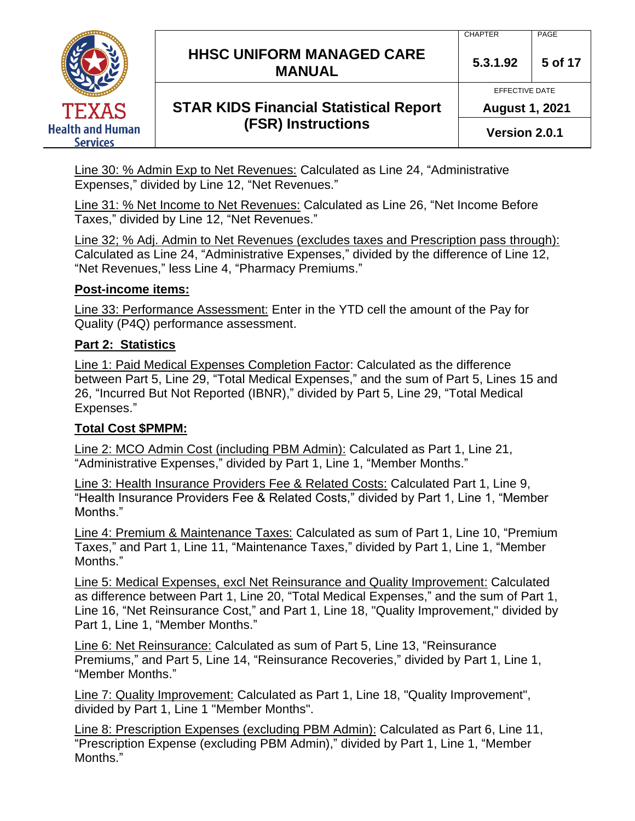**HHSC UNIFORM MANAGED CARE MANUAL 5.3.1.92 <sup>5</sup> of 17**



# **STAR KIDS Financial Statistical Report (FSR) Instructions**

EFFECTIVE DATE **August 1, 2021**

**Version 2.0.1**

Line 30: % Admin Exp to Net Revenues: Calculated as Line 24, "Administrative Expenses," divided by Line 12, "Net Revenues."

Line 31: % Net Income to Net Revenues: Calculated as Line 26, "Net Income Before Taxes," divided by Line 12, "Net Revenues."

Line 32; % Adj. Admin to Net Revenues (excludes taxes and Prescription pass through): Calculated as Line 24, "Administrative Expenses," divided by the difference of Line 12, "Net Revenues," less Line 4, "Pharmacy Premiums."

#### **Post-income items:**

Line 33: Performance Assessment: Enter in the YTD cell the amount of the Pay for Quality (P4Q) performance assessment.

## **Part 2: Statistics**

Line 1: Paid Medical Expenses Completion Factor: Calculated as the difference between Part 5, Line 29, "Total Medical Expenses," and the sum of Part 5, Lines 15 and 26, "Incurred But Not Reported (IBNR)," divided by Part 5, Line 29, "Total Medical Expenses."

## **Total Cost \$PMPM:**

Line 2: MCO Admin Cost (including PBM Admin): Calculated as Part 1, Line 21, "Administrative Expenses," divided by Part 1, Line 1, "Member Months."

Line 3: Health Insurance Providers Fee & Related Costs: Calculated Part 1, Line 9, "Health Insurance Providers Fee & Related Costs," divided by Part 1, Line 1, "Member Months."

Line 4: Premium & Maintenance Taxes: Calculated as sum of Part 1, Line 10, "Premium Taxes," and Part 1, Line 11, "Maintenance Taxes," divided by Part 1, Line 1, "Member Months."

Line 5: Medical Expenses, excl Net Reinsurance and Quality Improvement: Calculated as difference between Part 1, Line 20, "Total Medical Expenses," and the sum of Part 1, Line 16, "Net Reinsurance Cost," and Part 1, Line 18, "Quality Improvement," divided by Part 1, Line 1, "Member Months."

Line 6: Net Reinsurance: Calculated as sum of Part 5, Line 13, "Reinsurance Premiums," and Part 5, Line 14, "Reinsurance Recoveries," divided by Part 1, Line 1, "Member Months."

Line 7: Quality Improvement: Calculated as Part 1, Line 18, "Quality Improvement", divided by Part 1, Line 1 "Member Months".

Line 8: Prescription Expenses (excluding PBM Admin): Calculated as Part 6, Line 11, "Prescription Expense (excluding PBM Admin)," divided by Part 1, Line 1, "Member Months."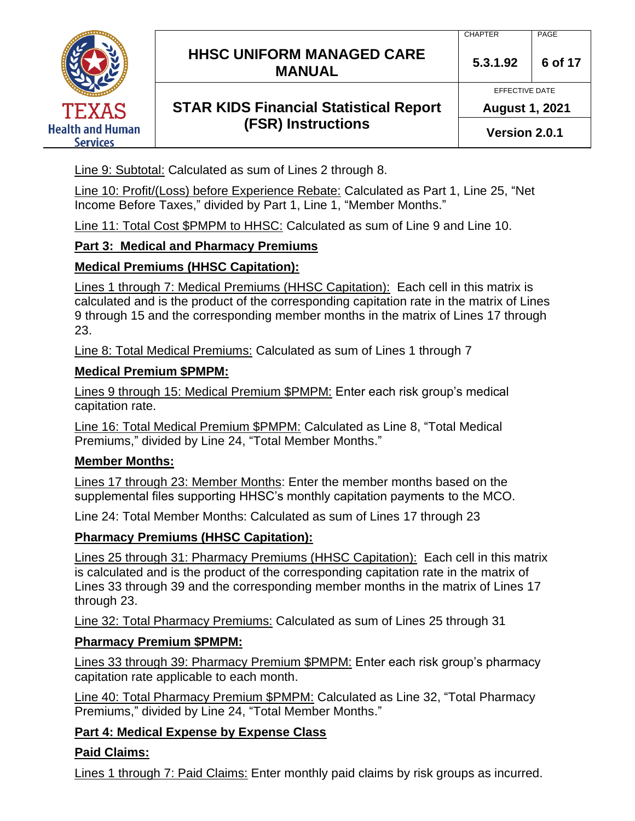**HHSC UNIFORM MANAGED CARE MANUAL 5.3.1.92 <sup>6</sup> of 17**



# **STAR KIDS Financial Statistical Report (FSR) Instructions**

Line 9: Subtotal: Calculated as sum of Lines 2 through 8.

Line 10: Profit/(Loss) before Experience Rebate: Calculated as Part 1, Line 25, "Net Income Before Taxes," divided by Part 1, Line 1, "Member Months."

Line 11: Total Cost \$PMPM to HHSC: Calculated as sum of Line 9 and Line 10.

# **Part 3: Medical and Pharmacy Premiums**

# **Medical Premiums (HHSC Capitation):**

Lines 1 through 7: Medical Premiums (HHSC Capitation): Each cell in this matrix is calculated and is the product of the corresponding capitation rate in the matrix of Lines 9 through 15 and the corresponding member months in the matrix of Lines 17 through 23.

Line 8: Total Medical Premiums: Calculated as sum of Lines 1 through 7

## **Medical Premium \$PMPM:**

Lines 9 through 15: Medical Premium \$PMPM: Enter each risk group's medical capitation rate.

Line 16: Total Medical Premium \$PMPM: Calculated as Line 8, "Total Medical Premiums," divided by Line 24, "Total Member Months."

# **Member Months:**

Lines 17 through 23: Member Months: Enter the member months based on the supplemental files supporting HHSC's monthly capitation payments to the MCO.

Line 24: Total Member Months: Calculated as sum of Lines 17 through 23

# **Pharmacy Premiums (HHSC Capitation):**

Lines 25 through 31: Pharmacy Premiums (HHSC Capitation): Each cell in this matrix is calculated and is the product of the corresponding capitation rate in the matrix of Lines 33 through 39 and the corresponding member months in the matrix of Lines 17 through 23.

Line 32: Total Pharmacy Premiums: Calculated as sum of Lines 25 through 31

# **Pharmacy Premium \$PMPM:**

Lines 33 through 39: Pharmacy Premium \$PMPM: Enter each risk group's pharmacy capitation rate applicable to each month.

Line 40: Total Pharmacy Premium \$PMPM: Calculated as Line 32, "Total Pharmacy Premiums," divided by Line 24, "Total Member Months."

# **Part 4: Medical Expense by Expense Class**

# **Paid Claims:**

Lines 1 through 7: Paid Claims: Enter monthly paid claims by risk groups as incurred.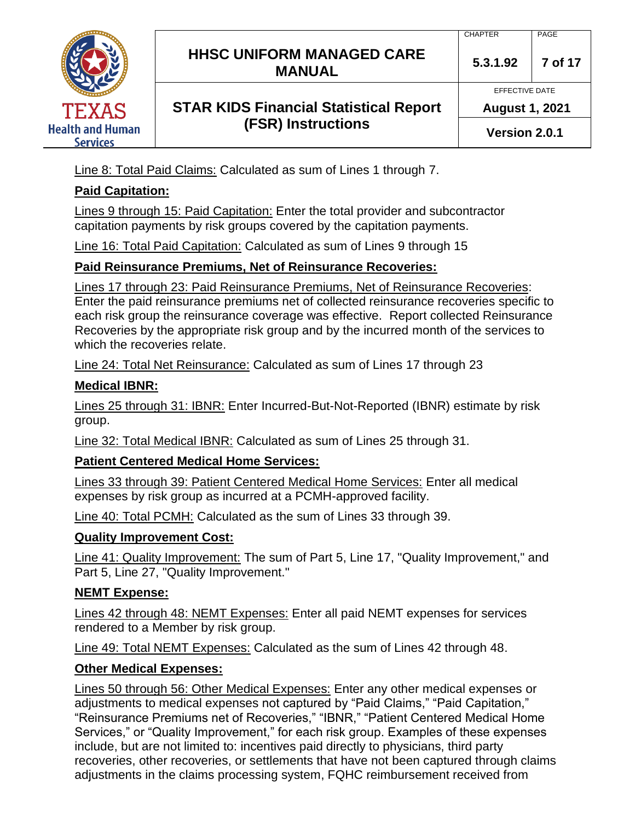# **HHSC UNIFORM MANAGED CARE MANUAL 5.3.1.92 <sup>7</sup> of 17**

# **STAR KIDS Financial Statistical Report (FSR) Instructions**

EFFECTIVE DATE **August 1, 2021**

**Version 2.0.1**

Line 8: Total Paid Claims: Calculated as sum of Lines 1 through 7.

## **Paid Capitation:**

Lines 9 through 15: Paid Capitation: Enter the total provider and subcontractor capitation payments by risk groups covered by the capitation payments.

Line 16: Total Paid Capitation: Calculated as sum of Lines 9 through 15

## **Paid Reinsurance Premiums, Net of Reinsurance Recoveries:**

Lines 17 through 23: Paid Reinsurance Premiums, Net of Reinsurance Recoveries: Enter the paid reinsurance premiums net of collected reinsurance recoveries specific to each risk group the reinsurance coverage was effective. Report collected Reinsurance Recoveries by the appropriate risk group and by the incurred month of the services to which the recoveries relate.

Line 24: Total Net Reinsurance: Calculated as sum of Lines 17 through 23

## **Medical IBNR:**

Lines 25 through 31: IBNR: Enter Incurred-But-Not-Reported (IBNR) estimate by risk group.

Line 32: Total Medical IBNR: Calculated as sum of Lines 25 through 31.

## **Patient Centered Medical Home Services:**

Lines 33 through 39: Patient Centered Medical Home Services: Enter all medical expenses by risk group as incurred at a PCMH-approved facility.

Line 40: Total PCMH: Calculated as the sum of Lines 33 through 39.

## **Quality Improvement Cost:**

Line 41: Quality Improvement: The sum of Part 5, Line 17, "Quality Improvement," and Part 5, Line 27, "Quality Improvement."

## **NEMT Expense:**

Lines 42 through 48: NEMT Expenses: Enter all paid NEMT expenses for services rendered to a Member by risk group.

Line 49: Total NEMT Expenses: Calculated as the sum of Lines 42 through 48.

## **Other Medical Expenses:**

Lines 50 through 56: Other Medical Expenses: Enter any other medical expenses or adjustments to medical expenses not captured by "Paid Claims," "Paid Capitation," "Reinsurance Premiums net of Recoveries," "IBNR," "Patient Centered Medical Home Services," or "Quality Improvement," for each risk group. Examples of these expenses include, but are not limited to: incentives paid directly to physicians, third party recoveries, other recoveries, or settlements that have not been captured through claims adjustments in the claims processing system, FQHC reimbursement received from

CHAPTER PAGE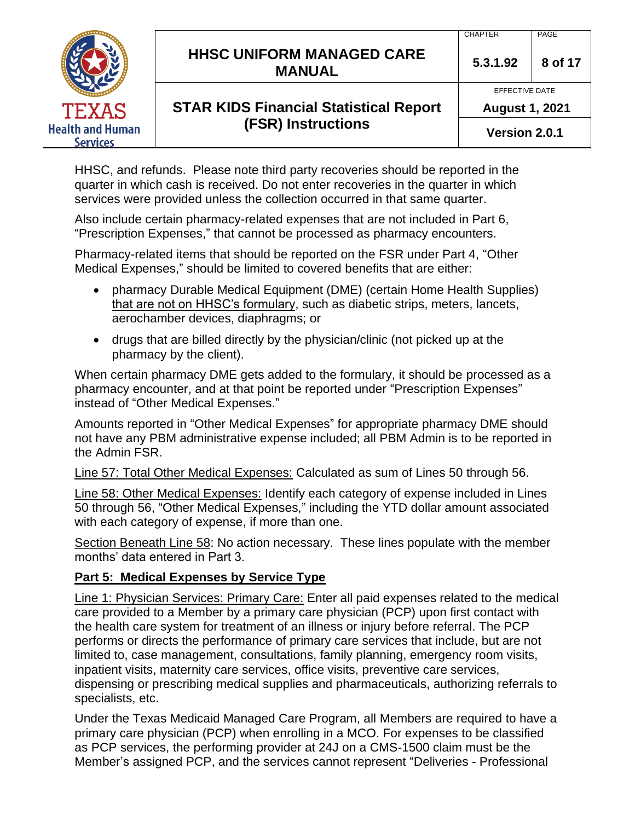|                                     |                                                   | <b>CHAPTER</b>        | PAGE    |
|-------------------------------------|---------------------------------------------------|-----------------------|---------|
|                                     | <b>HHSC UNIFORM MANAGED CARE</b><br><b>MANUAL</b> | 5.3.1.92              | 8 of 17 |
|                                     |                                                   | EFFECTIVE DATE        |         |
| <b>TEXAS</b>                        | <b>STAR KIDS Financial Statistical Report</b>     | <b>August 1, 2021</b> |         |
| <b>Health and Human</b><br>Services | <b>(FSR) Instructions</b>                         | Version 2.0.1         |         |

HHSC, and refunds. Please note third party recoveries should be reported in the quarter in which cash is received. Do not enter recoveries in the quarter in which services were provided unless the collection occurred in that same quarter.

Also include certain pharmacy-related expenses that are not included in Part 6, "Prescription Expenses," that cannot be processed as pharmacy encounters.

Pharmacy-related items that should be reported on the FSR under Part 4, "Other Medical Expenses," should be limited to covered benefits that are either:

- pharmacy Durable Medical Equipment (DME) (certain Home Health Supplies) that are not on HHSC's formulary, such as diabetic strips, meters, lancets, aerochamber devices, diaphragms; or
- drugs that are billed directly by the physician/clinic (not picked up at the pharmacy by the client).

When certain pharmacy DME gets added to the formulary, it should be processed as a pharmacy encounter, and at that point be reported under "Prescription Expenses" instead of "Other Medical Expenses."

Amounts reported in "Other Medical Expenses" for appropriate pharmacy DME should not have any PBM administrative expense included; all PBM Admin is to be reported in the Admin FSR.

Line 57: Total Other Medical Expenses: Calculated as sum of Lines 50 through 56.

Line 58: Other Medical Expenses: Identify each category of expense included in Lines 50 through 56, "Other Medical Expenses," including the YTD dollar amount associated with each category of expense, if more than one.

Section Beneath Line 58: No action necessary. These lines populate with the member months' data entered in Part 3.

#### **Part 5: Medical Expenses by Service Type**

Line 1: Physician Services: Primary Care: Enter all paid expenses related to the medical care provided to a Member by a primary care physician (PCP) upon first contact with the health care system for treatment of an illness or injury before referral. The PCP performs or directs the performance of primary care services that include, but are not limited to, case management, consultations, family planning, emergency room visits, inpatient visits, maternity care services, office visits, preventive care services, dispensing or prescribing medical supplies and pharmaceuticals, authorizing referrals to specialists, etc.

Under the Texas Medicaid Managed Care Program, all Members are required to have a primary care physician (PCP) when enrolling in a MCO. For expenses to be classified as PCP services, the performing provider at 24J on a CMS-1500 claim must be the Member's assigned PCP, and the services cannot represent "Deliveries - Professional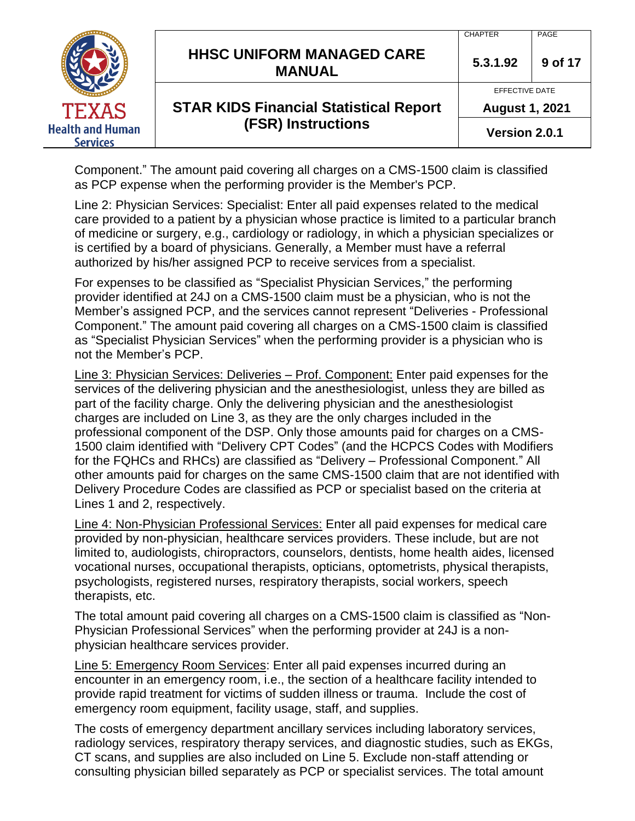|                                            | <b>HHSC UNIFORM MANAGED CARE</b><br><b>MANUAL</b> | <b>CHAPTER</b><br>5.3.1.92              | PAGE<br>9 of 17 |
|--------------------------------------------|---------------------------------------------------|-----------------------------------------|-----------------|
| <b>TEXAS</b>                               | <b>STAR KIDS Financial Statistical Report</b>     | EFFECTIVE DATE<br><b>August 1, 2021</b> |                 |
| <b>Health and Human</b><br><b>Services</b> | <b>(FSR) Instructions</b>                         | Version 2.0.1                           |                 |

Component." The amount paid covering all charges on a CMS-1500 claim is classified as PCP expense when the performing provider is the Member's PCP.

Line 2: Physician Services: Specialist: Enter all paid expenses related to the medical care provided to a patient by a physician whose practice is limited to a particular branch of medicine or surgery, e.g., cardiology or radiology, in which a physician specializes or is certified by a board of physicians. Generally, a Member must have a referral authorized by his/her assigned PCP to receive services from a specialist.

For expenses to be classified as "Specialist Physician Services," the performing provider identified at 24J on a CMS-1500 claim must be a physician, who is not the Member's assigned PCP, and the services cannot represent "Deliveries - Professional Component." The amount paid covering all charges on a CMS-1500 claim is classified as "Specialist Physician Services" when the performing provider is a physician who is not the Member's PCP.

Line 3: Physician Services: Deliveries – Prof. Component: Enter paid expenses for the services of the delivering physician and the anesthesiologist, unless they are billed as part of the facility charge. Only the delivering physician and the anesthesiologist charges are included on Line 3, as they are the only charges included in the professional component of the DSP. Only those amounts paid for charges on a CMS-1500 claim identified with "Delivery CPT Codes" (and the HCPCS Codes with Modifiers for the FQHCs and RHCs) are classified as "Delivery – Professional Component." All other amounts paid for charges on the same CMS-1500 claim that are not identified with Delivery Procedure Codes are classified as PCP or specialist based on the criteria at Lines 1 and 2, respectively.

Line 4: Non-Physician Professional Services: Enter all paid expenses for medical care provided by non-physician, healthcare services providers. These include, but are not limited to, audiologists, chiropractors, counselors, dentists, home health aides, licensed vocational nurses, occupational therapists, opticians, optometrists, physical therapists, psychologists, registered nurses, respiratory therapists, social workers, speech therapists, etc.

The total amount paid covering all charges on a CMS-1500 claim is classified as "Non-Physician Professional Services" when the performing provider at 24J is a nonphysician healthcare services provider.

Line 5: Emergency Room Services: Enter all paid expenses incurred during an encounter in an emergency room, i.e., the section of a healthcare facility intended to provide rapid treatment for victims of sudden illness or trauma. Include the cost of emergency room equipment, facility usage, staff, and supplies.

The costs of emergency department ancillary services including laboratory services, radiology services, respiratory therapy services, and diagnostic studies, such as EKGs, CT scans, and supplies are also included on Line 5. Exclude non-staff attending or consulting physician billed separately as PCP or specialist services. The total amount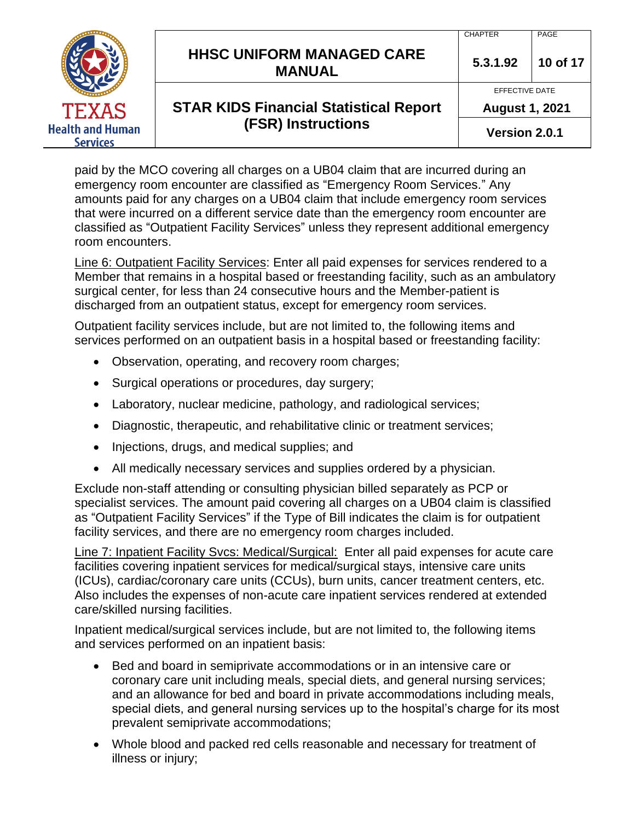|                                            |                                                   | <b>CHAPTER</b>        | PAGE     |
|--------------------------------------------|---------------------------------------------------|-----------------------|----------|
|                                            | <b>HHSC UNIFORM MANAGED CARE</b><br><b>MANUAL</b> | 5.3.1.92              | 10 of 17 |
|                                            |                                                   | EFFECTIVE DATE        |          |
| TEXAS                                      | <b>STAR KIDS Financial Statistical Report</b>     | <b>August 1, 2021</b> |          |
| <b>Health and Human</b><br><b>Services</b> | <b>(FSR) Instructions</b>                         | Version 2.0.1         |          |

paid by the MCO covering all charges on a UB04 claim that are incurred during an emergency room encounter are classified as "Emergency Room Services." Any amounts paid for any charges on a UB04 claim that include emergency room services that were incurred on a different service date than the emergency room encounter are classified as "Outpatient Facility Services" unless they represent additional emergency room encounters.

Line 6: Outpatient Facility Services: Enter all paid expenses for services rendered to a Member that remains in a hospital based or freestanding facility, such as an ambulatory surgical center, for less than 24 consecutive hours and the Member-patient is discharged from an outpatient status, except for emergency room services.

Outpatient facility services include, but are not limited to, the following items and services performed on an outpatient basis in a hospital based or freestanding facility:

- Observation, operating, and recovery room charges;
- Surgical operations or procedures, day surgery;
- Laboratory, nuclear medicine, pathology, and radiological services;
- Diagnostic, therapeutic, and rehabilitative clinic or treatment services;
- Injections, drugs, and medical supplies; and
- All medically necessary services and supplies ordered by a physician.

Exclude non-staff attending or consulting physician billed separately as PCP or specialist services. The amount paid covering all charges on a UB04 claim is classified as "Outpatient Facility Services" if the Type of Bill indicates the claim is for outpatient facility services, and there are no emergency room charges included.

Line 7: Inpatient Facility Svcs: Medical/Surgical: Enter all paid expenses for acute care facilities covering inpatient services for medical/surgical stays, intensive care units (ICUs), cardiac/coronary care units (CCUs), burn units, cancer treatment centers, etc. Also includes the expenses of non-acute care inpatient services rendered at extended care/skilled nursing facilities.

Inpatient medical/surgical services include, but are not limited to, the following items and services performed on an inpatient basis:

- Bed and board in semiprivate accommodations or in an intensive care or coronary care unit including meals, special diets, and general nursing services; and an allowance for bed and board in private accommodations including meals, special diets, and general nursing services up to the hospital's charge for its most prevalent semiprivate accommodations;
- Whole blood and packed red cells reasonable and necessary for treatment of illness or injury;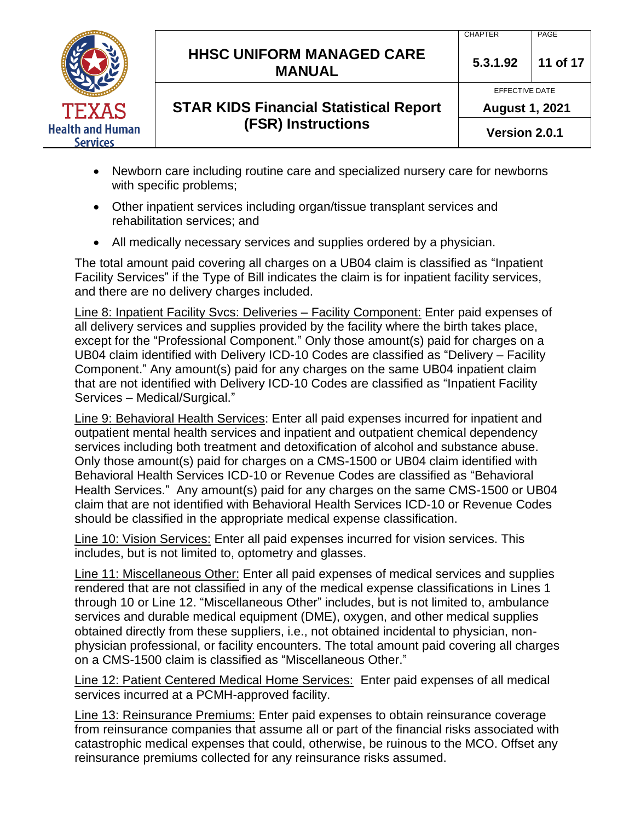|                                            |                                                   | <b>CHAPTER</b>        | PAGE     |
|--------------------------------------------|---------------------------------------------------|-----------------------|----------|
|                                            | <b>HHSC UNIFORM MANAGED CARE</b><br><b>MANUAL</b> | 5.3.1.92              | 11 of 17 |
|                                            |                                                   | <b>EFFECTIVE DATE</b> |          |
| <b>TEXAS</b>                               | <b>STAR KIDS Financial Statistical Report</b>     | <b>August 1, 2021</b> |          |
| <b>Health and Human</b><br><b>Services</b> | <b>(FSR) Instructions</b>                         | Version 2.0.1         |          |

- Newborn care including routine care and specialized nursery care for newborns with specific problems;
- Other inpatient services including organ/tissue transplant services and rehabilitation services; and
- All medically necessary services and supplies ordered by a physician.

The total amount paid covering all charges on a UB04 claim is classified as "Inpatient Facility Services" if the Type of Bill indicates the claim is for inpatient facility services, and there are no delivery charges included.

Line 8: Inpatient Facility Svcs: Deliveries – Facility Component: Enter paid expenses of all delivery services and supplies provided by the facility where the birth takes place, except for the "Professional Component." Only those amount(s) paid for charges on a UB04 claim identified with Delivery ICD-10 Codes are classified as "Delivery – Facility Component." Any amount(s) paid for any charges on the same UB04 inpatient claim that are not identified with Delivery ICD-10 Codes are classified as "Inpatient Facility Services – Medical/Surgical."

Line 9: Behavioral Health Services: Enter all paid expenses incurred for inpatient and outpatient mental health services and inpatient and outpatient chemical dependency services including both treatment and detoxification of alcohol and substance abuse. Only those amount(s) paid for charges on a CMS-1500 or UB04 claim identified with Behavioral Health Services ICD-10 or Revenue Codes are classified as "Behavioral Health Services." Any amount(s) paid for any charges on the same CMS-1500 or UB04 claim that are not identified with Behavioral Health Services ICD-10 or Revenue Codes should be classified in the appropriate medical expense classification.

Line 10: Vision Services: Enter all paid expenses incurred for vision services. This includes, but is not limited to, optometry and glasses.

Line 11: Miscellaneous Other: Enter all paid expenses of medical services and supplies rendered that are not classified in any of the medical expense classifications in Lines 1 through 10 or Line 12. "Miscellaneous Other" includes, but is not limited to, ambulance services and durable medical equipment (DME), oxygen, and other medical supplies obtained directly from these suppliers, i.e., not obtained incidental to physician, nonphysician professional, or facility encounters. The total amount paid covering all charges on a CMS-1500 claim is classified as "Miscellaneous Other."

Line 12: Patient Centered Medical Home Services: Enter paid expenses of all medical services incurred at a PCMH-approved facility.

Line 13: Reinsurance Premiums: Enter paid expenses to obtain reinsurance coverage from reinsurance companies that assume all or part of the financial risks associated with catastrophic medical expenses that could, otherwise, be ruinous to the MCO. Offset any reinsurance premiums collected for any reinsurance risks assumed.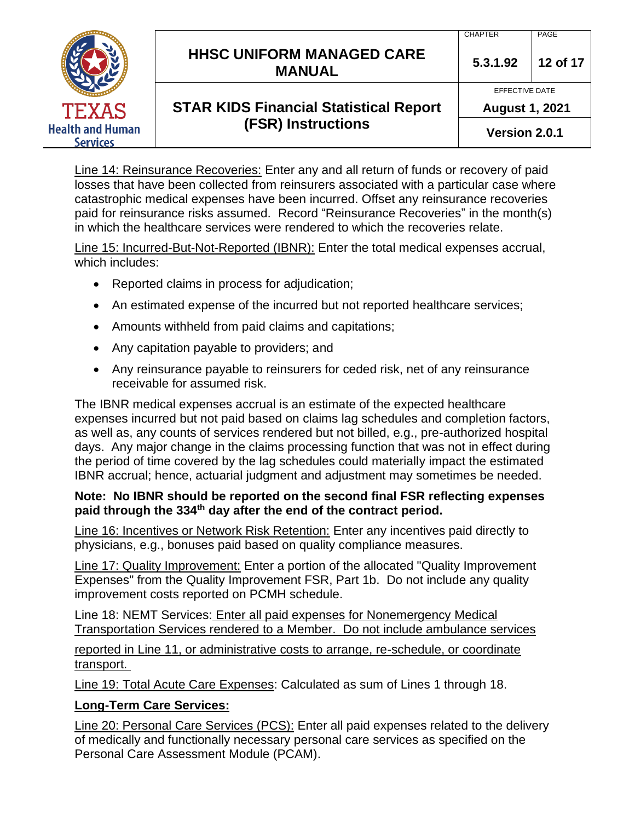|                                            |                                                                            | <b>CHAPTER</b>        | PAGE     |
|--------------------------------------------|----------------------------------------------------------------------------|-----------------------|----------|
|                                            | <b>HHSC UNIFORM MANAGED CARE</b><br><b>MANUAL</b>                          | 5.3.1.92              | 12 of 17 |
|                                            | <b>STAR KIDS Financial Statistical Report</b><br><b>(FSR) Instructions</b> | EFFECTIVE DATE        |          |
| <b>TEXAS</b>                               |                                                                            | <b>August 1, 2021</b> |          |
| <b>Health and Human</b><br><b>Services</b> |                                                                            | Version 2.0.1         |          |

Line 14: Reinsurance Recoveries: Enter any and all return of funds or recovery of paid losses that have been collected from reinsurers associated with a particular case where catastrophic medical expenses have been incurred. Offset any reinsurance recoveries paid for reinsurance risks assumed. Record "Reinsurance Recoveries" in the month(s) in which the healthcare services were rendered to which the recoveries relate.

Line 15: Incurred-But-Not-Reported (IBNR): Enter the total medical expenses accrual, which includes:

- Reported claims in process for adjudication;
- An estimated expense of the incurred but not reported healthcare services;
- Amounts withheld from paid claims and capitations;
- Any capitation payable to providers; and
- Any reinsurance payable to reinsurers for ceded risk, net of any reinsurance receivable for assumed risk.

The IBNR medical expenses accrual is an estimate of the expected healthcare expenses incurred but not paid based on claims lag schedules and completion factors, as well as, any counts of services rendered but not billed, e.g., pre-authorized hospital days. Any major change in the claims processing function that was not in effect during the period of time covered by the lag schedules could materially impact the estimated IBNR accrual; hence, actuarial judgment and adjustment may sometimes be needed.

#### **Note: No IBNR should be reported on the second final FSR reflecting expenses paid through the 334th day after the end of the contract period.**

Line 16: Incentives or Network Risk Retention: Enter any incentives paid directly to physicians, e.g., bonuses paid based on quality compliance measures.

Line 17: Quality Improvement: Enter a portion of the allocated "Quality Improvement Expenses" from the Quality Improvement FSR, Part 1b. Do not include any quality improvement costs reported on PCMH schedule.

Line 18: NEMT Services: Enter all paid expenses for Nonemergency Medical Transportation Services rendered to a Member. Do not include ambulance services

reported in Line 11, or administrative costs to arrange, re-schedule, or coordinate transport.

Line 19: Total Acute Care Expenses: Calculated as sum of Lines 1 through 18.

#### **Long-Term Care Services:**

Line 20: Personal Care Services (PCS): Enter all paid expenses related to the delivery of medically and functionally necessary personal care services as specified on the Personal Care Assessment Module (PCAM).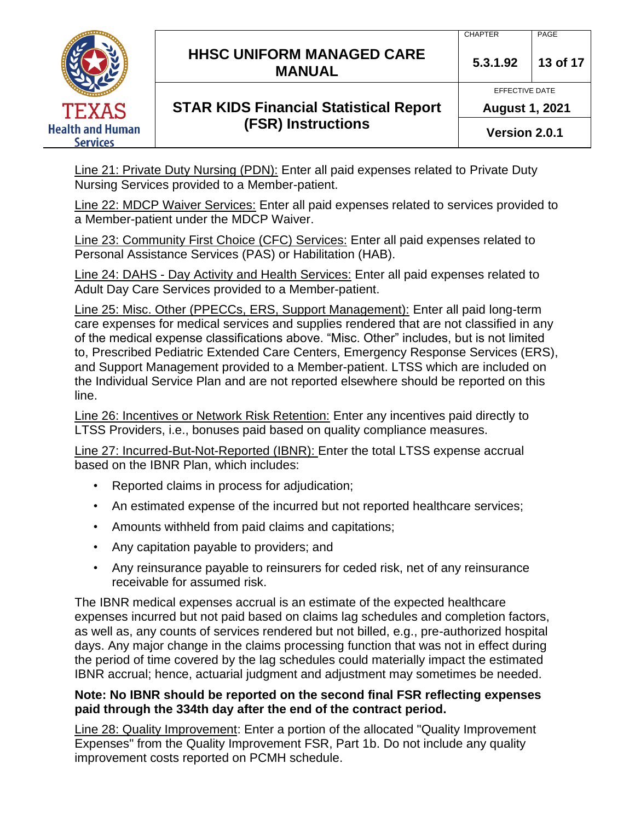# **HHSC UNIFORM MANAGED CARE MANUAL 5.3.1.92 <sup>13</sup> of 17**

# **STAR KIDS Financial Statistical Report (FSR) Instructions**

EFFECTIVE DATE **August 1, 2021**

**Version 2.0.1**

Line 21: Private Duty Nursing (PDN): Enter all paid expenses related to Private Duty Nursing Services provided to a Member-patient.

Line 22: MDCP Waiver Services: Enter all paid expenses related to services provided to a Member-patient under the MDCP Waiver.

Line 23: Community First Choice (CFC) Services: Enter all paid expenses related to Personal Assistance Services (PAS) or Habilitation (HAB).

Line 24: DAHS - Day Activity and Health Services: Enter all paid expenses related to Adult Day Care Services provided to a Member-patient.

Line 25: Misc. Other (PPECCs, ERS, Support Management): Enter all paid long-term care expenses for medical services and supplies rendered that are not classified in any of the medical expense classifications above. "Misc. Other" includes, but is not limited to, Prescribed Pediatric Extended Care Centers, Emergency Response Services (ERS), and Support Management provided to a Member-patient. LTSS which are included on the Individual Service Plan and are not reported elsewhere should be reported on this line.

Line 26: Incentives or Network Risk Retention: Enter any incentives paid directly to LTSS Providers, i.e., bonuses paid based on quality compliance measures.

Line 27: Incurred-But-Not-Reported (IBNR): Enter the total LTSS expense accrual based on the IBNR Plan, which includes:

- Reported claims in process for adjudication;
- An estimated expense of the incurred but not reported healthcare services;
- Amounts withheld from paid claims and capitations;
- Any capitation payable to providers; and
- Any reinsurance payable to reinsurers for ceded risk, net of any reinsurance receivable for assumed risk.

The IBNR medical expenses accrual is an estimate of the expected healthcare expenses incurred but not paid based on claims lag schedules and completion factors, as well as, any counts of services rendered but not billed, e.g., pre-authorized hospital days. Any major change in the claims processing function that was not in effect during the period of time covered by the lag schedules could materially impact the estimated IBNR accrual; hence, actuarial judgment and adjustment may sometimes be needed.

#### **Note: No IBNR should be reported on the second final FSR reflecting expenses paid through the 334th day after the end of the contract period.**

Line 28: Quality Improvement: Enter a portion of the allocated "Quality Improvement Expenses" from the Quality Improvement FSR, Part 1b. Do not include any quality improvement costs reported on PCMH schedule.

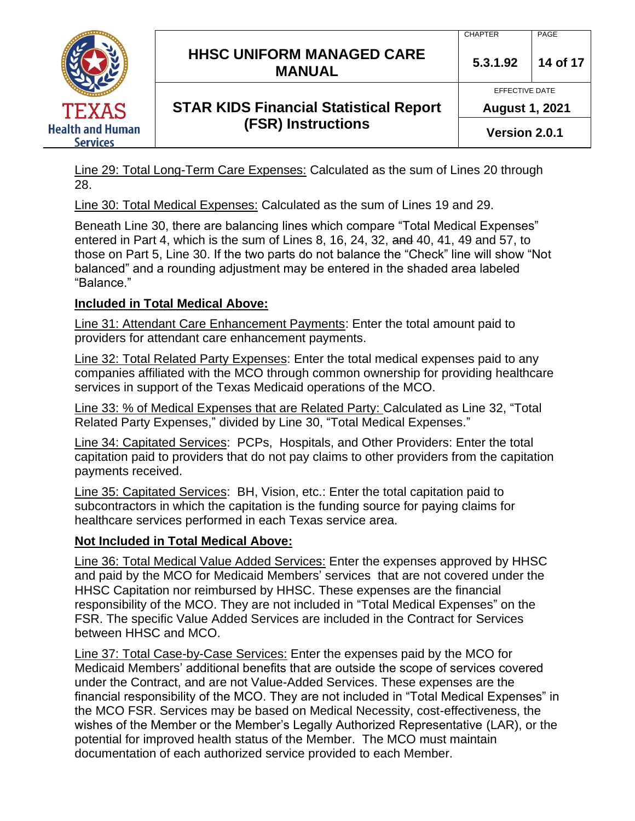# **HHSC UNIFORM MANAGED CARE MANUAL 5.3.1.92 <sup>14</sup> of 17**

# **STAR KIDS Financial Statistical Report (FSR) Instructions**

CHAPTER PAGE

EFFECTIVE DATE

**August 1, 2021**

**Version 2.0.1**

Line 29: Total Long-Term Care Expenses: Calculated as the sum of Lines 20 through 28.

Line 30: Total Medical Expenses: Calculated as the sum of Lines 19 and 29.

Beneath Line 30, there are balancing lines which compare "Total Medical Expenses" entered in Part 4, which is the sum of Lines 8, 16, 24, 32, and 40, 41, 49 and 57, to those on Part 5, Line 30. If the two parts do not balance the "Check" line will show "Not balanced" and a rounding adjustment may be entered in the shaded area labeled "Balance."

# **Included in Total Medical Above:**

Line 31: Attendant Care Enhancement Payments: Enter the total amount paid to providers for attendant care enhancement payments.

Line 32: Total Related Party Expenses: Enter the total medical expenses paid to any companies affiliated with the MCO through common ownership for providing healthcare services in support of the Texas Medicaid operations of the MCO.

Line 33: % of Medical Expenses that are Related Party: Calculated as Line 32, "Total Related Party Expenses," divided by Line 30, "Total Medical Expenses."

Line 34: Capitated Services: PCPs, Hospitals, and Other Providers: Enter the total capitation paid to providers that do not pay claims to other providers from the capitation payments received.

Line 35: Capitated Services: BH, Vision, etc.: Enter the total capitation paid to subcontractors in which the capitation is the funding source for paying claims for healthcare services performed in each Texas service area.

# **Not Included in Total Medical Above:**

Line 36: Total Medical Value Added Services: Enter the expenses approved by HHSC and paid by the MCO for Medicaid Members' services that are not covered under the HHSC Capitation nor reimbursed by HHSC. These expenses are the financial responsibility of the MCO. They are not included in "Total Medical Expenses" on the FSR. The specific Value Added Services are included in the Contract for Services between HHSC and MCO.

Line 37: Total Case-by-Case Services: Enter the expenses paid by the MCO for Medicaid Members' additional benefits that are outside the scope of services covered under the Contract, and are not Value-Added Services. These expenses are the financial responsibility of the MCO. They are not included in "Total Medical Expenses" in the MCO FSR. Services may be based on Medical Necessity, cost-effectiveness, the wishes of the Member or the Member's Legally Authorized Representative (LAR), or the potential for improved health status of the Member. The MCO must maintain documentation of each authorized service provided to each Member.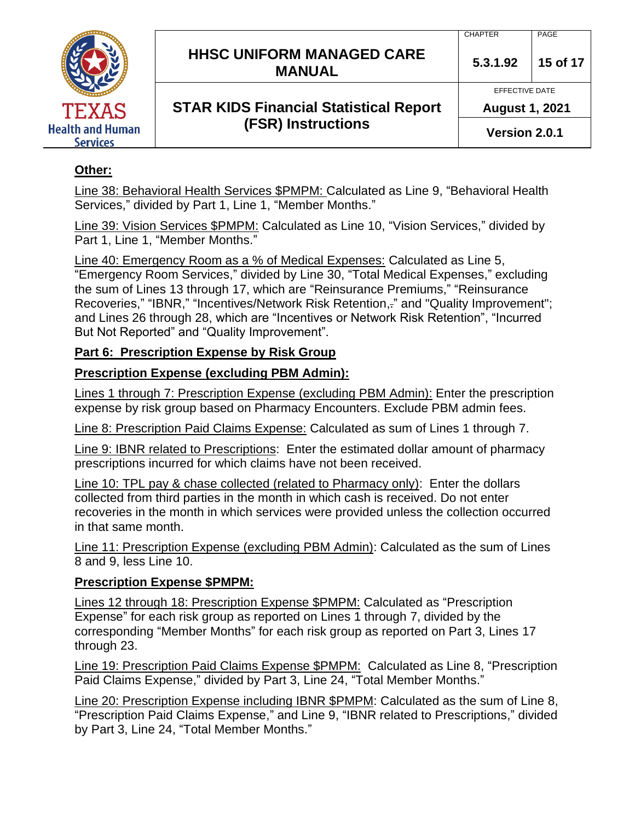

# **HHSC UNIFORM MANAGED CARE MANUAL 5.3.1.92 <sup>15</sup> of 17**

**STAR KIDS Financial Statistical Report (FSR) Instructions**

EFFECTIVE DATE

**August 1, 2021**

**Version 2.0.1**

## **Other:**

Line 38: Behavioral Health Services \$PMPM: Calculated as Line 9, "Behavioral Health Services," divided by Part 1, Line 1, "Member Months."

Line 39: Vision Services \$PMPM: Calculated as Line 10, "Vision Services," divided by Part 1, Line 1, "Member Months."

Line 40: Emergency Room as a % of Medical Expenses: Calculated as Line 5, "Emergency Room Services," divided by Line 30, "Total Medical Expenses," excluding the sum of Lines 13 through 17, which are "Reinsurance Premiums," "Reinsurance Recoveries," "IBNR," "Incentives/Network Risk Retention,." and "Quality Improvement"; and Lines 26 through 28, which are "Incentives or Network Risk Retention", "Incurred

But Not Reported" and "Quality Improvement".

## **Part 6: Prescription Expense by Risk Group**

## **Prescription Expense (excluding PBM Admin):**

Lines 1 through 7: Prescription Expense (excluding PBM Admin): Enter the prescription expense by risk group based on Pharmacy Encounters. Exclude PBM admin fees.

Line 8: Prescription Paid Claims Expense: Calculated as sum of Lines 1 through 7.

Line 9: IBNR related to Prescriptions: Enter the estimated dollar amount of pharmacy prescriptions incurred for which claims have not been received.

Line 10: TPL pay & chase collected (related to Pharmacy only): Enter the dollars collected from third parties in the month in which cash is received. Do not enter recoveries in the month in which services were provided unless the collection occurred in that same month.

Line 11: Prescription Expense (excluding PBM Admin): Calculated as the sum of Lines 8 and 9, less Line 10.

#### **Prescription Expense \$PMPM:**

Lines 12 through 18: Prescription Expense \$PMPM: Calculated as "Prescription Expense" for each risk group as reported on Lines 1 through 7, divided by the corresponding "Member Months" for each risk group as reported on Part 3, Lines 17 through 23.

Line 19: Prescription Paid Claims Expense \$PMPM: Calculated as Line 8, "Prescription Paid Claims Expense," divided by Part 3, Line 24, "Total Member Months."

Line 20: Prescription Expense including IBNR \$PMPM: Calculated as the sum of Line 8, "Prescription Paid Claims Expense," and Line 9, "IBNR related to Prescriptions," divided by Part 3, Line 24, "Total Member Months."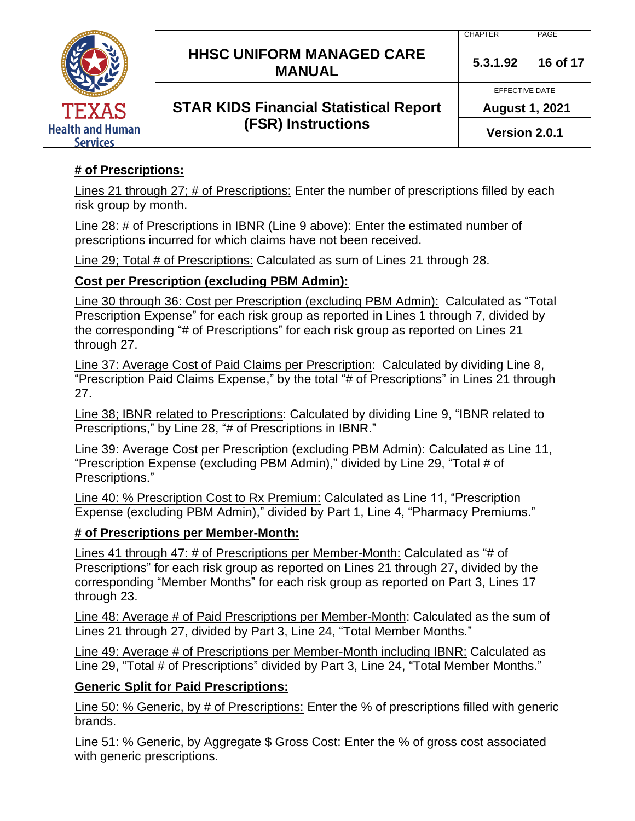

# **HHSC UNIFORM MANAGED CARE MANUAL 5.3.1.92 <sup>16</sup> of 17**

**STAR KIDS Financial Statistical Report (FSR) Instructions**

#### CHAPTER PAGE

EFFECTIVE DATE

**August 1, 2021**

**Version 2.0.1**

## **# of Prescriptions:**

Lines 21 through 27; # of Prescriptions: Enter the number of prescriptions filled by each risk group by month.

Line 28: # of Prescriptions in IBNR (Line 9 above): Enter the estimated number of prescriptions incurred for which claims have not been received.

Line 29; Total # of Prescriptions: Calculated as sum of Lines 21 through 28.

## **Cost per Prescription (excluding PBM Admin):**

Line 30 through 36: Cost per Prescription (excluding PBM Admin): Calculated as "Total Prescription Expense" for each risk group as reported in Lines 1 through 7, divided by the corresponding "# of Prescriptions" for each risk group as reported on Lines 21 through 27.

Line 37: Average Cost of Paid Claims per Prescription: Calculated by dividing Line 8, "Prescription Paid Claims Expense," by the total "# of Prescriptions" in Lines 21 through 27.

Line 38; IBNR related to Prescriptions: Calculated by dividing Line 9, "IBNR related to Prescriptions," by Line 28, "# of Prescriptions in IBNR."

Line 39: Average Cost per Prescription (excluding PBM Admin): Calculated as Line 11, "Prescription Expense (excluding PBM Admin)," divided by Line 29, "Total # of Prescriptions."

Line 40: % Prescription Cost to Rx Premium: Calculated as Line 11, "Prescription Expense (excluding PBM Admin)," divided by Part 1, Line 4, "Pharmacy Premiums."

#### **# of Prescriptions per Member-Month:**

Lines 41 through 47: # of Prescriptions per Member-Month: Calculated as "# of Prescriptions" for each risk group as reported on Lines 21 through 27, divided by the corresponding "Member Months" for each risk group as reported on Part 3, Lines 17 through 23.

Line 48: Average # of Paid Prescriptions per Member-Month: Calculated as the sum of Lines 21 through 27, divided by Part 3, Line 24, "Total Member Months."

Line 49: Average # of Prescriptions per Member-Month including IBNR: Calculated as Line 29, "Total # of Prescriptions" divided by Part 3, Line 24, "Total Member Months."

## **Generic Split for Paid Prescriptions:**

Line 50: % Generic, by # of Prescriptions: Enter the % of prescriptions filled with generic brands.

Line 51: % Generic, by Aggregate \$ Gross Cost: Enter the % of gross cost associated with generic prescriptions.